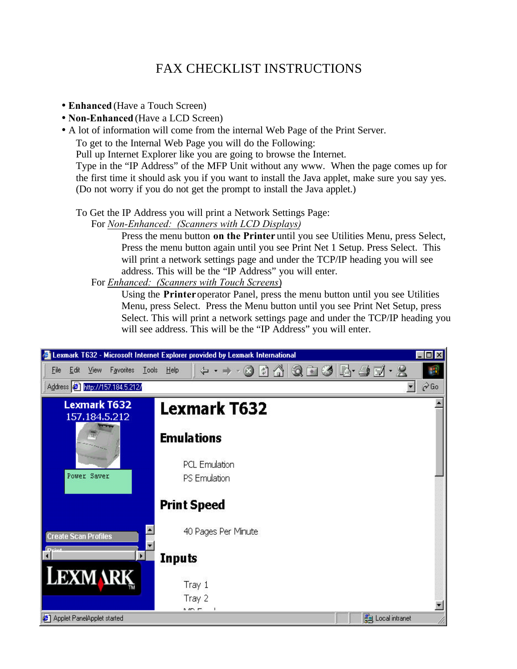# FAX CHECKLIST INSTRUCTIONS

- **Enhanced** (Have a Touch Screen)
- **Non-Enhanced** (Have a LCD Screen)
- A lot of information will come from the internal Web Page of the Print Server.

To get to the Internal Web Page you will do the Following:

Pull up Internet Explorer like you are going to browse the Internet.

Type in the "IP Address" of the MFP Unit without any www. When the page comes up for the first time it should ask you if you want to install the Java applet, make sure you say yes. (Do not worry if you do not get the prompt to install the Java applet.)

To Get the IP Address you will print a Network Settings Page:

For *Non-Enhanced: (Scanners with LCD Displays)*

Press the menu button **on the Printer** until you see Utilities Menu, press Select, Press the menu button again until you see Print Net 1 Setup. Press Select. This will print a network settings page and under the TCP/IP heading you will see address. This will be the "IP Address" you will enter.

For *Enhanced: (Scanners with Touch Screens*)

Using the **Printer** operator Panel, press the menu button until you see Utilities Menu, press Select. Press the Menu button until you see Print Net Setup, press Select. This will print a network settings page and under the TCP/IP heading you will see address. This will be the "IP Address" you will enter.

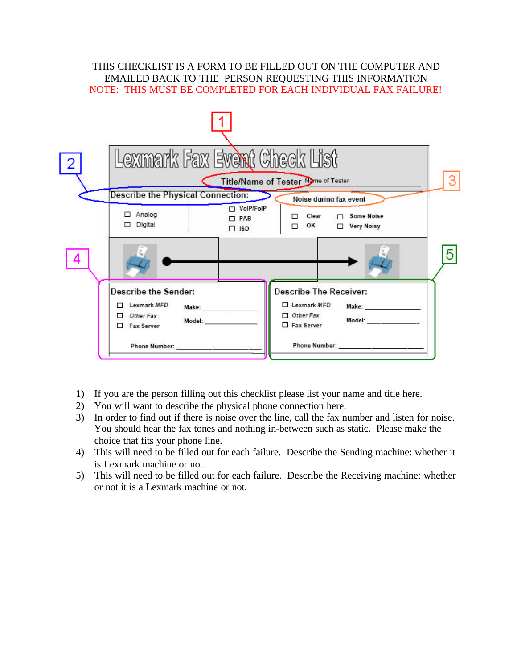## THIS CHECKLIST IS A FORM TO BE FILLED OUT ON THE COMPUTER AND EMAILED BACK TO THE PERSON REQUESTING THIS INFORMATION NOTE: THIS MUST BE COMPLETED FOR EACH INDIVIDUAL FAX FAILURE!



- 1) If you are the person filling out this checklist please list your name and title here.
- 2) You will want to describe the physical phone connection here.
- 3) In order to find out if there is noise over the line, call the fax number and listen for noise. You should hear the fax tones and nothing in-between such as static. Please make the choice that fits your phone line.
- 4) This will need to be filled out for each failure. Describe the Sending machine: whether it is Lexmark machine or not.
- 5) This will need to be filled out for each failure. Describe the Receiving machine: whether or not it is a Lexmark machine or not.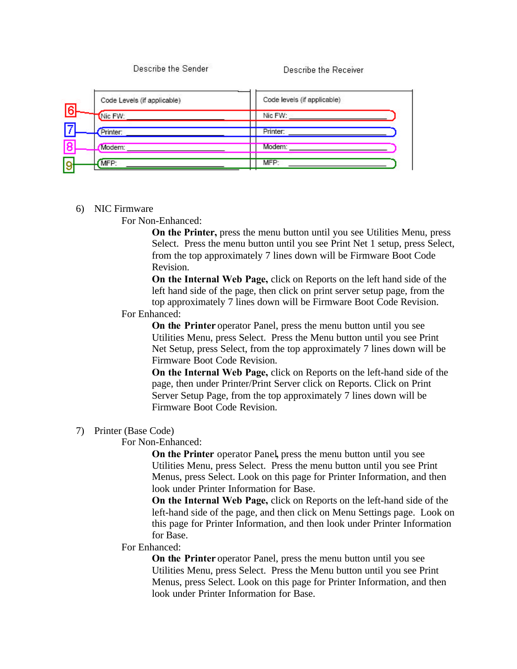Describe the Sender

Describe the Receiver

|   | Code Levels (if applicable) | Code levels (if applicable) |
|---|-----------------------------|-----------------------------|
| 冏 | Nic FW:                     | Nic FW:                     |
|   | Printer:                    | Printer:                    |
|   | Modem:                      | Modem:                      |
|   | MFP:                        | MFP:                        |

## 6) NIC Firmware

#### For Non-Enhanced:

**On the Printer,** press the menu button until you see Utilities Menu, press Select. Press the menu button until you see Print Net 1 setup, press Select, from the top approximately 7 lines down will be Firmware Boot Code Revision.

**On the Internal Web Page,** click on Reports on the left hand side of the left hand side of the page, then click on print server setup page, from the top approximately 7 lines down will be Firmware Boot Code Revision.

## For Enhanced:

**On the Printer** operator Panel, press the menu button until you see Utilities Menu, press Select. Press the Menu button until you see Print Net Setup, press Select, from the top approximately 7 lines down will be Firmware Boot Code Revision.

**On the Internal Web Page,** click on Reports on the left-hand side of the page, then under Printer/Print Server click on Reports. Click on Print Server Setup Page, from the top approximately 7 lines down will be Firmware Boot Code Revision.

#### 7) Printer (Base Code)

#### For Non-Enhanced:

**On the Printer** operator Panel**,** press the menu button until you see Utilities Menu, press Select. Press the menu button until you see Print Menus, press Select. Look on this page for Printer Information, and then look under Printer Information for Base.

**On the Internal Web Page,** click on Reports on the left-hand side of the left-hand side of the page, and then click on Menu Settings page. Look on this page for Printer Information, and then look under Printer Information for Base.

#### For Enhanced:

**On the Printer** operator Panel, press the menu button until you see Utilities Menu, press Select. Press the Menu button until you see Print Menus, press Select. Look on this page for Printer Information, and then look under Printer Information for Base.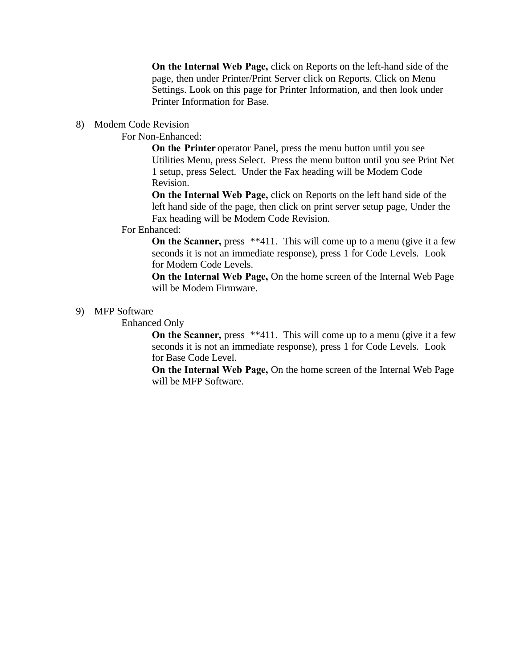**On the Internal Web Page,** click on Reports on the left-hand side of the page, then under Printer/Print Server click on Reports. Click on Menu Settings. Look on this page for Printer Information, and then look under Printer Information for Base.

## 8) Modem Code Revision

## For Non-Enhanced:

**On the Printer** operator Panel, press the menu button until you see Utilities Menu, press Select. Press the menu button until you see Print Net 1 setup, press Select. Under the Fax heading will be Modem Code Revision.

**On the Internal Web Page,** click on Reports on the left hand side of the left hand side of the page, then click on print server setup page, Under the Fax heading will be Modem Code Revision.

#### For Enhanced:

**On the Scanner,** press \*\*411. This will come up to a menu (give it a few seconds it is not an immediate response), press 1 for Code Levels. Look for Modem Code Levels.

**On the Internal Web Page,** On the home screen of the Internal Web Page will be Modem Firmware.

## 9) MFP Software

Enhanced Only

**On the Scanner, press** \*\*411. This will come up to a menu (give it a few seconds it is not an immediate response), press 1 for Code Levels. Look for Base Code Level.

**On the Internal Web Page,** On the home screen of the Internal Web Page will be MFP Software.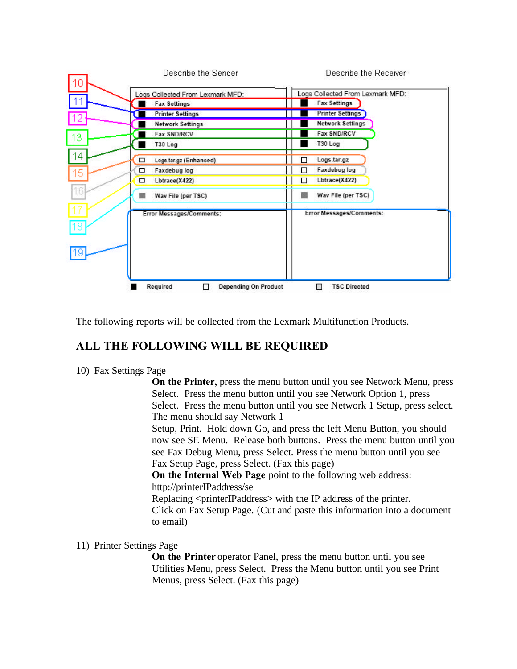

The following reports will be collected from the Lexmark Multifunction Products.

## **ALL THE FOLLOWING WILL BE REQUIRED**

10) Fax Settings Page

**On the Printer,** press the menu button until you see Network Menu, press Select. Press the menu button until you see Network Option 1, press Select. Press the menu button until you see Network 1 Setup, press select. The menu should say Network 1

Setup, Print. Hold down Go, and press the left Menu Button, you should now see SE Menu. Release both buttons. Press the menu button until you see Fax Debug Menu, press Select. Press the menu button until you see Fax Setup Page, press Select. (Fax this page)

**On the Internal Web Page** point to the following web address: http://printerIPaddress/se

Replacing <printerIPaddress> with the IP address of the printer. Click on Fax Setup Page. (Cut and paste this information into a document to email)

## 11) Printer Settings Page

**On the Printer** operator Panel, press the menu button until you see Utilities Menu, press Select. Press the Menu button until you see Print Menus, press Select. (Fax this page)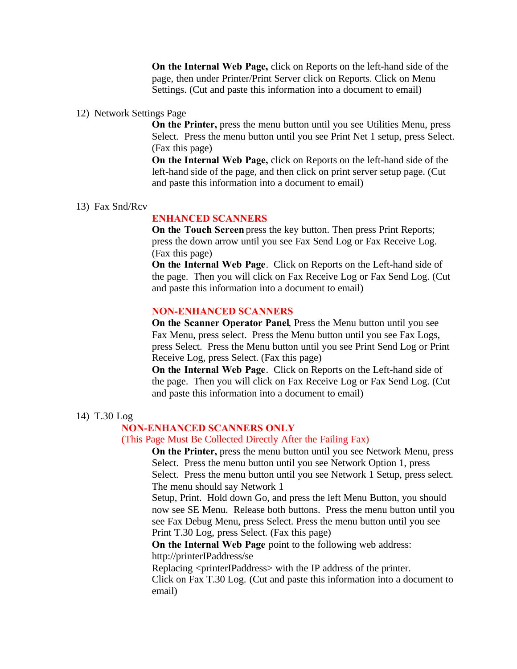**On the Internal Web Page,** click on Reports on the left-hand side of the page, then under Printer/Print Server click on Reports. Click on Menu Settings. (Cut and paste this information into a document to email)

#### 12) Network Settings Page

**On the Printer,** press the menu button until you see Utilities Menu, press Select. Press the menu button until you see Print Net 1 setup, press Select. (Fax this page)

**On the Internal Web Page,** click on Reports on the left-hand side of the left-hand side of the page, and then click on print server setup page. (Cut and paste this information into a document to email)

#### 13) Fax Snd/Rcv

## **ENHANCED SCANNERS**

**On the Touch Screen** press the key button. Then press Print Reports; press the down arrow until you see Fax Send Log or Fax Receive Log. (Fax this page)

**On the Internal Web Page**. Click on Reports on the Left-hand side of the page. Then you will click on Fax Receive Log or Fax Send Log. (Cut and paste this information into a document to email)

## **NON-ENHANCED SCANNERS**

**On the Scanner Operator Panel**, Press the Menu button until you see Fax Menu, press select. Press the Menu button until you see Fax Logs, press Select. Press the Menu button until you see Print Send Log or Print Receive Log, press Select. (Fax this page)

**On the Internal Web Page**. Click on Reports on the Left-hand side of the page. Then you will click on Fax Receive Log or Fax Send Log. (Cut and paste this information into a document to email)

#### 14) T.30 Log

## **NON-ENHANCED SCANNERS ONLY**

#### (This Page Must Be Collected Directly After the Failing Fax)

**On the Printer,** press the menu button until you see Network Menu, press Select. Press the menu button until you see Network Option 1, press Select. Press the menu button until you see Network 1 Setup, press select. The menu should say Network 1

Setup, Print. Hold down Go, and press the left Menu Button, you should now see SE Menu. Release both buttons. Press the menu button until you see Fax Debug Menu, press Select. Press the menu button until you see Print T.30 Log, press Select. (Fax this page)

**On the Internal Web Page** point to the following web address: http://printerIPaddress/se

Replacing <printerIPaddress> with the IP address of the printer.

Click on Fax T.30 Log. (Cut and paste this information into a document to email)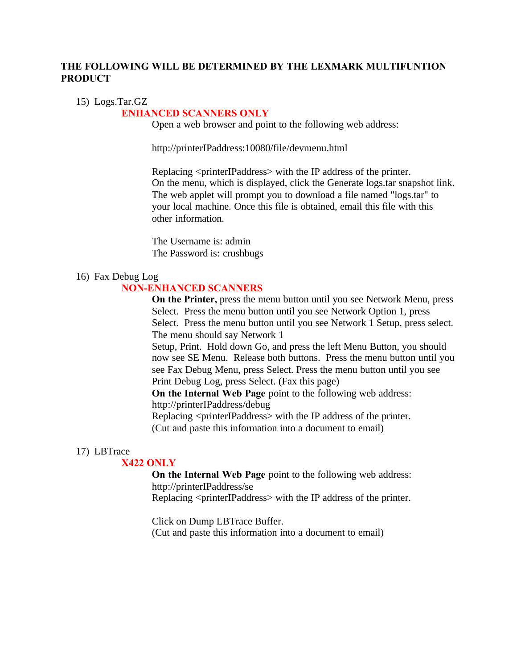## **THE FOLLOWING WILL BE DETERMINED BY THE LEXMARK MULTIFUNTION PRODUCT**

## 15) Logs.Tar.GZ

## **ENHANCED SCANNERS ONLY**

Open a web browser and point to the following web address:

http://printerIPaddress:10080/file/devmenu.html

Replacing <printerIPaddress> with the IP address of the printer. On the menu, which is displayed, click the Generate logs.tar snapshot link. The web applet will prompt you to download a file named "logs.tar" to your local machine. Once this file is obtained, email this file with this other information.

The Username is: admin The Password is: crushbugs

#### 16) Fax Debug Log

## **NON-ENHANCED SCANNERS**

**On the Printer,** press the menu button until you see Network Menu, press Select. Press the menu button until you see Network Option 1, press Select. Press the menu button until you see Network 1 Setup, press select. The menu should say Network 1

Setup, Print. Hold down Go, and press the left Menu Button, you should now see SE Menu. Release both buttons. Press the menu button until you see Fax Debug Menu, press Select. Press the menu button until you see Print Debug Log, press Select. (Fax this page)

**On the Internal Web Page** point to the following web address: http://printerIPaddress/debug

Replacing <printerIPaddress> with the IP address of the printer. (Cut and paste this information into a document to email)

#### 17) LBTrace

#### **X422 ONLY**

**On the Internal Web Page** point to the following web address: http://printerIPaddress/se

Replacing <printerIPaddress> with the IP address of the printer.

Click on Dump LBTrace Buffer. (Cut and paste this information into a document to email)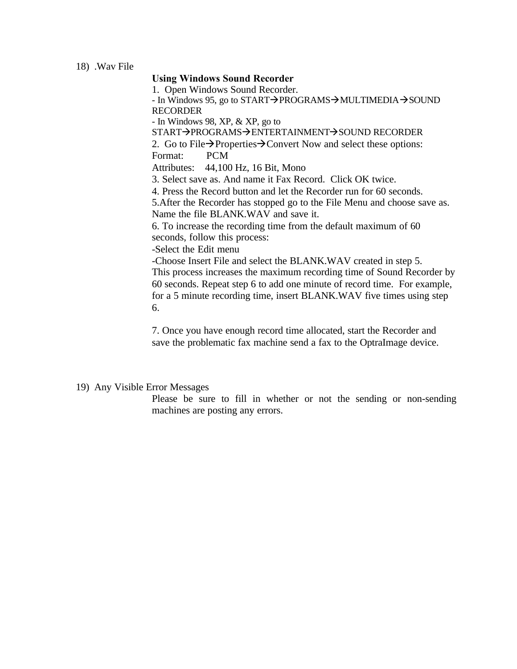## **Using Windows Sound Recorder**

1. Open Windows Sound Recorder.

- In Windows 95, go to START $\rightarrow$ PROGRAMS $\rightarrow$ MULTIMEDIA $\rightarrow$ SOUND RECORDER

- In Windows 98, XP, & XP, go to

START→PROGRAMS→ENTERTAINMENT→SOUND RECORDER

2. Go to File $\rightarrow$ Properties $\rightarrow$ Convert Now and select these options: Format: PCM

Attributes: 44,100 Hz, 16 Bit, Mono

3. Select save as. And name it Fax Record. Click OK twice.

4. Press the Record button and let the Recorder run for 60 seconds.

5.After the Recorder has stopped go to the File Menu and choose save as. Name the file BLANK.WAV and save it.

6. To increase the recording time from the default maximum of 60 seconds, follow this process:

-Select the Edit menu

-Choose Insert File and select the BLANK.WAV created in step 5. This process increases the maximum recording time of Sound Recorder by 60 seconds. Repeat step 6 to add one minute of record time. For example, for a 5 minute recording time, insert BLANK.WAV five times using step 6.

7. Once you have enough record time allocated, start the Recorder and save the problematic fax machine send a fax to the OptraImage device.

## 19) Any Visible Error Messages

Please be sure to fill in whether or not the sending or non-sending machines are posting any errors.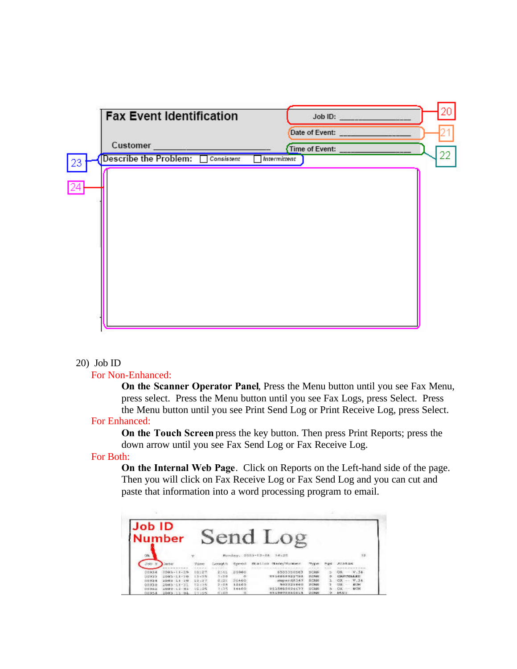

## 20) Job ID

## For Non-Enhanced:

**On the Scanner Operator Panel**, Press the Menu button until you see Fax Menu, press select. Press the Menu button until you see Fax Logs, press Select. Press the Menu button until you see Print Send Log or Print Receive Log, press Select.

## For Enhanced:

**On the Touch Screen** press the key button. Then press Print Reports; press the down arrow until you see Fax Send Log or Fax Receive Log.

## For Both:

**On the Internal Web Page**. Click on Reports on the Left-hand side of the page. Then you will click on Fax Receive Log or Fax Send Log and you can cut and paste that information into a word processing program to email.